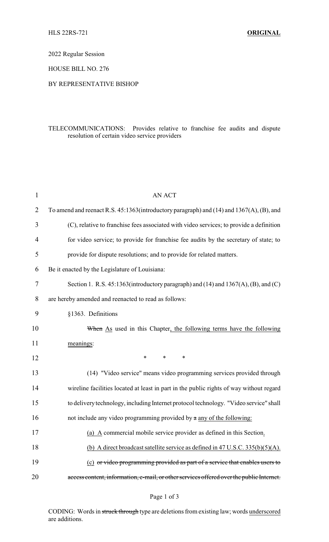2022 Regular Session

HOUSE BILL NO. 276

## BY REPRESENTATIVE BISHOP

## TELECOMMUNICATIONS: Provides relative to franchise fee audits and dispute resolution of certain video service providers

| $\mathbf{1}$ | <b>AN ACT</b>                                                                            |
|--------------|------------------------------------------------------------------------------------------|
| 2            | To amend and reenact R.S. 45:1363(introductory paragraph) and (14) and 1367(A), (B), and |
| 3            | (C), relative to franchise fees associated with video services; to provide a definition  |
| 4            | for video service; to provide for franchise fee audits by the secretary of state; to     |
| 5            | provide for dispute resolutions; and to provide for related matters.                     |
| 6            | Be it enacted by the Legislature of Louisiana:                                           |
| 7            | Section 1. R.S. $45:1363$ (introductory paragraph) and (14) and $1367(A)$ , (B), and (C) |
| 8            | are hereby amended and reenacted to read as follows:                                     |
| 9            | §1363. Definitions                                                                       |
| 10           | When As used in this Chapter, the following terms have the following                     |
| 11           | meanings:                                                                                |
|              |                                                                                          |
| 12           | $\ast$<br>$\ast$<br>*                                                                    |
| 13           | (14) "Video service" means video programming services provided through                   |
| 14           | wireline facilities located at least in part in the public rights of way without regard  |
| 15           | to delivery technology, including Internet protocol technology. "Video service" shall    |
| 16           | not include any video programming provided by a any of the following:                    |
| 17           | (a) A commercial mobile service provider as defined in this Section                      |
| 18           | (b) A direct broadcast satellite service as defined in 47 U.S.C. $335(b)(5)(A)$ .        |
| 19           | (c) or video programming provided as part of a service that enables users to             |

CODING: Words in struck through type are deletions from existing law; words underscored are additions.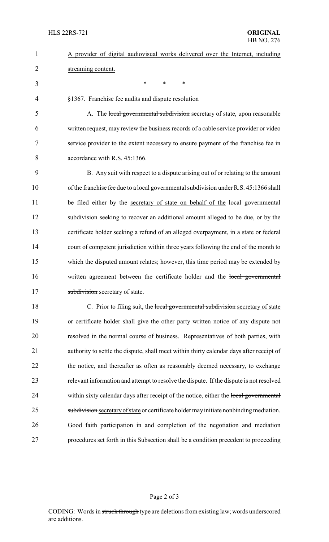| $\mathbf{1}$   | A provider of digital audiovisual works delivered over the Internet, including           |
|----------------|------------------------------------------------------------------------------------------|
| $\overline{2}$ | streaming content.                                                                       |
| 3              | *<br>$\ast$<br>$\ast$                                                                    |
| 4              | §1367. Franchise fee audits and dispute resolution                                       |
| 5              | A. The local governmental subdivision secretary of state, upon reasonable                |
| 6              | written request, may review the business records of a cable service provider or video    |
| 7              | service provider to the extent necessary to ensure payment of the franchise fee in       |
| 8              | accordance with R.S. 45:1366.                                                            |
| 9              | B. Any suit with respect to a dispute arising out of or relating to the amount           |
| 10             | of the franchise fee due to a local governmental subdivision under R.S. 45:1366 shall    |
| 11             | be filed either by the secretary of state on behalf of the local governmental            |
| 12             | subdivision seeking to recover an additional amount alleged to be due, or by the         |
| 13             | certificate holder seeking a refund of an alleged overpayment, in a state or federal     |
| 14             | court of competent jurisdiction within three years following the end of the month to     |
| 15             | which the disputed amount relates; however, this time period may be extended by          |
| 16             | written agreement between the certificate holder and the local governmental              |
| 17             | subdivision secretary of state.                                                          |
| 18             | C. Prior to filing suit, the local governmental subdivision secretary of state           |
| 19             | or certificate holder shall give the other party written notice of any dispute not       |
| 20             | resolved in the normal course of business. Representatives of both parties, with         |
| 21             | authority to settle the dispute, shall meet within thirty calendar days after receipt of |
| 22             | the notice, and thereafter as often as reasonably deemed necessary, to exchange          |
| 23             | relevant information and attempt to resolve the dispute. If the dispute is not resolved  |
| 24             | within sixty calendar days after receipt of the notice, either the local governmental    |
| 25             | subdivision secretary of state or certificate holder may initiate nonbinding mediation.  |
| 26             | Good faith participation in and completion of the negotiation and mediation              |
| 27             | procedures set forth in this Subsection shall be a condition precedent to proceeding     |
|                |                                                                                          |